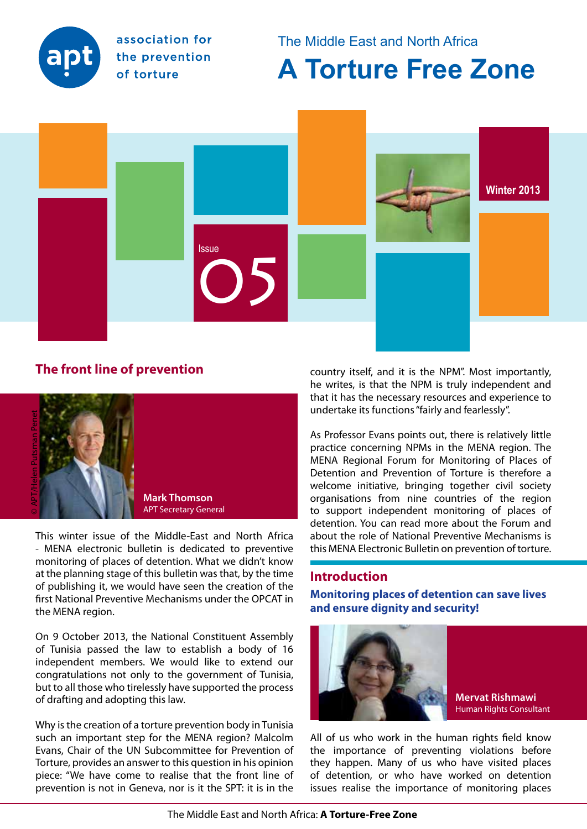<span id="page-0-0"></span>

association for the prevention of torture

The Middle East and North Africa

# **A Torture Free Zone**



# **The front line of prevention**



This winter issue of the Middle-East and North Africa - MENA electronic bulletin is dedicated to preventive monitoring of places of detention. What we didn't know at the planning stage of this bulletin was that, by the time of publishing it, we would have seen the creation of the first National Preventive Mechanisms under the OPCAT in the MENA region.

On 9 October 2013, the National Constituent Assembly of Tunisia passed the law to establish a body of 16 independent members. We would like to extend our congratulations not only to the government of Tunisia, but to all those who tirelessly have supported the process of drafting and adopting this law.

Why is the creation of a torture prevention body in Tunisia such an important step for the MENA region? Malcolm Evans, Chair of the UN Subcommittee for Prevention of Torture, provides an answer to this question in his opinion piece: "We have come to realise that the front line of prevention is not in Geneva, nor is it the SPT: it is in the

country itself, and it is the NPM". Most importantly, he writes, is that the NPM is truly independent and that it has the necessary resources and experience to undertake its functions "fairly and fearlessly".

As Professor Evans points out, there is relatively little practice concerning NPMs in the MENA region. The MENA Regional Forum for Monitoring of Places of Detention and Prevention of Torture is therefore a welcome initiative, bringing together civil society organisations from nine countries of the region to support independent monitoring of places of detention. You can read more about the Forum and about the role of National Preventive Mechanisms is this MENA Electronic Bulletin on prevention of torture.

# **Introduction**

**Monitoring places of detention can save lives and ensure dignity and security!**



**Mervat Rishmawi**  Human Rights Consultant

All of us who work in the human rights field know the importance of preventing violations before they happen. Many of us who have visited places of detention, or who have worked on detention issues realise the importance of monitoring places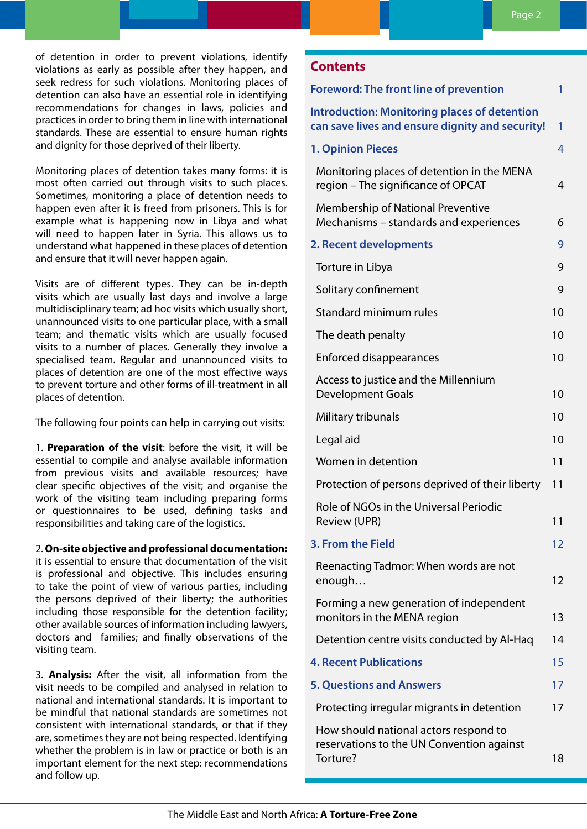of detention in order to prevent violations, identify violations as early as possible after they happen, and seek redress for such violations. Monitoring places of detention can also have an essential role in identifying recommendations for changes in laws, policies and practices in order to bring them in line with international standards. These are essential to ensure human rights and dignity for those deprived of their liberty.

Monitoring places of detention takes many forms: it is most often carried out through visits to such places. Sometimes, monitoring a place of detention needs to happen even after it is freed from prisoners. This is for example what is happening now in Libya and what will need to happen later in Syria. This allows us to understand what happened in these places of detention and ensure that it will never happen again.

Visits are of different types. They can be in-depth visits which are usually last days and involve a large multidisciplinary team; ad hoc visits which usually short, unannounced visits to one particular place, with a small team; and thematic visits which are usually focused visits to a number of places. Generally they involve a specialised team. Regular and unannounced visits to places of detention are one of the most effective ways to prevent torture and other forms of ill-treatment in all places of detention.

The following four points can help in carrying out visits:

1. **Preparation of the visit**: before the visit, it will be essential to compile and analyse available information from previous visits and available resources; have clear specific objectives of the visit; and organise the work of the visiting team including preparing forms or questionnaires to be used, defining tasks and responsibilities and taking care of the logistics.

2. **On-site objective and professional documentation:** 

it is essential to ensure that documentation of the visit is professional and objective. This includes ensuring to take the point of view of various parties, including the persons deprived of their liberty; the authorities including those responsible for the detention facility; other available sources of information including lawyers, doctors and families; and finally observations of the visiting team.

3. **Analysis:** After the visit, all information from the visit needs to be compiled and analysed in relation to national and international standards. It is important to be mindful that national standards are sometimes not consistent with international standards, or that if they are, sometimes they are not being respected. Identifying whether the problem is in law or practice or both is an important element for the next step: recommendations and follow up.

# **Contents**

| <b>Foreword: The front line of prevention</b>                                                          | 1  |
|--------------------------------------------------------------------------------------------------------|----|
| <b>Introduction: Monitoring places of detention</b><br>can save lives and ensure dignity and security! | 1  |
| <b>1. Opinion Pieces</b>                                                                               | 4  |
| Monitoring places of detention in the MENA<br>region - The significance of OPCAT                       | 4  |
| <b>Membership of National Preventive</b><br>Mechanisms - standards and experiences                     | 6  |
| 2. Recent developments                                                                                 | 9  |
| Torture in Libya                                                                                       | 9  |
| Solitary confinement                                                                                   | 9  |
| Standard minimum rules                                                                                 | 10 |
| The death penalty                                                                                      | 10 |
| <b>Enforced disappearances</b>                                                                         | 10 |
| Access to justice and the Millennium<br><b>Development Goals</b>                                       | 10 |
| Military tribunals                                                                                     | 10 |
| Legal aid                                                                                              | 10 |
| Women in detention                                                                                     | 11 |
| Protection of persons deprived of their liberty                                                        | 11 |
| Role of NGOs in the Universal Periodic<br><b>Review (UPR)</b>                                          | 11 |
| 3. From the Field                                                                                      | 12 |
| Reenacting Tadmor: When words are not<br>enough                                                        | 12 |
| Forming a new generation of independent<br>monitors in the MENA region                                 | 13 |
| Detention centre visits conducted by Al-Haq                                                            | 14 |
| <b>4. Recent Publications</b>                                                                          | 15 |
| <b>5. Questions and Answers</b>                                                                        | 17 |
| Protecting irregular migrants in detention                                                             | 17 |
| How should national actors respond to<br>reservations to the UN Convention against<br>Torture?         | 18 |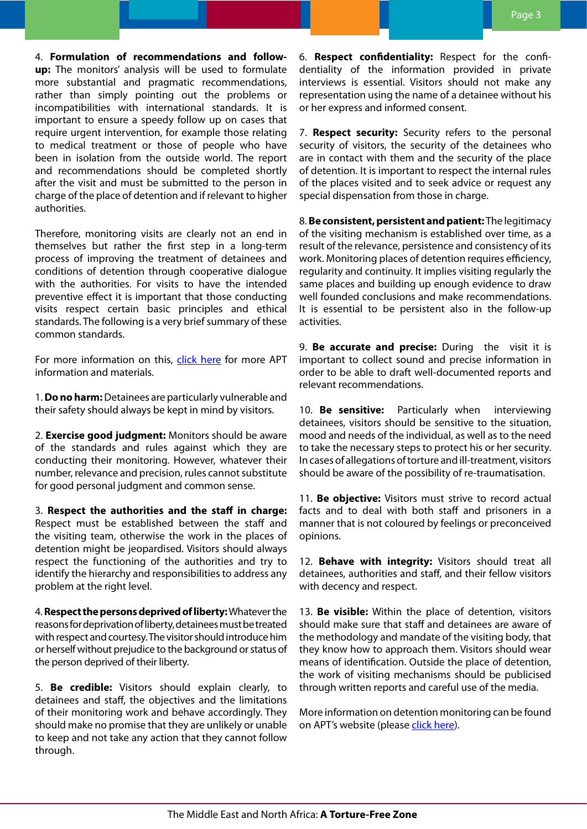4. **Formulation of recommendations and followup:** The monitors' analysis will be used to formulate more substantial and pragmatic recommendations, rather than simply pointing out the problems or incompatibilities with international standards. It is important to ensure a speedy follow up on cases that require urgent intervention, for example those relating to medical treatment or those of people who have been in isolation from the outside world. The report and recommendations should be completed shortly after the visit and must be submitted to the person in charge of the place of detention and if relevant to higher authorities.

Therefore, monitoring visits are clearly not an end in themselves but rather the first step in a long-term process of improving the treatment of detainees and conditions of detention through cooperative dialogue with the authorities. For visits to have the intended preventive effect it is important that those conducting visits respect certain basic principles and ethical standards. The following is a very brief summary of these common standards.

For more information on this, click [here](http://www.apt.ch/en/principles-of-detention-monitoring/) for more APT information and materials.

1. **Do no harm:** Detainees are particularly vulnerable and their safety should always be kept in mind by visitors.

2. **Exercise good judgment:** Monitors should be aware of the standards and rules against which they are conducting their monitoring. However, whatever their number, relevance and precision, rules cannot substitute for good personal judgment and common sense.

3. **Respect the authorities and the staff in charge:**  Respect must be established between the staff and the visiting team, otherwise the work in the places of detention might be jeopardised. Visitors should always respect the functioning of the authorities and try to identify the hierarchy and responsibilities to address any problem at the right level.

4. **Respect the persons deprived of liberty:** Whatever the reasons for deprivation of liberty, detainees must be treated with respect and courtesy. The visitor should introduce him or herself without prejudice to the background or status of the person deprived of their liberty.

5. **Be credible:** Visitors should explain clearly, to detainees and staff, the objectives and the limitations of their monitoring work and behave accordingly. They should make no promise that they are unlikely or unable to keep and not take any action that they cannot follow through.

6. **Respect confidentiality:** Respect for the confidentiality of the information provided in private interviews is essential. Visitors should not make any representation using the name of a detainee without his or her express and informed consent.

7. **Respect security:** Security refers to the personal security of visitors, the security of the detainees who are in contact with them and the security of the place of detention. It is important to respect the internal rules of the places visited and to seek advice or request any special dispensation from those in charge.

8. **Be consistent, persistent and patient:** The legitimacy of the visiting mechanism is established over time, as a result of the relevance, persistence and consistency of its work. Monitoring places of detention requires efficiency, regularity and continuity. It implies visiting regularly the same places and building up enough evidence to draw well founded conclusions and make recommendations. It is essential to be persistent also in the follow-up activities.

9. **Be accurate and precise:** During the visit it is important to collect sound and precise information in order to be able to draft well-documented reports and relevant recommendations.

10. **Be sensitive:** Particularly when interviewing detainees, visitors should be sensitive to the situation, mood and needs of the individual, as well as to the need to take the necessary steps to protect his or her security. In cases of allegations of torture and ill-treatment, visitors should be aware of the possibility of re-traumatisation.

11. **Be objective:** Visitors must strive to record actual facts and to deal with both staff and prisoners in a manner that is not coloured by feelings or preconceived opinions.

12. **Behave with integrity:** Visitors should treat all detainees, authorities and staff, and their fellow visitors with decency and respect.

13. **Be visible:** Within the place of detention, visitors should make sure that staff and detainees are aware of the methodology and mandate of the visiting body, that they know how to approach them. Visitors should wear means of identification. Outside the place of detention, the work of visiting mechanisms should be publicised through written reports and careful use of the media.

More information on detention monitoring can be found on APT's website (please [click here\)](http://www.apt.ch/en/detention-monitoring/).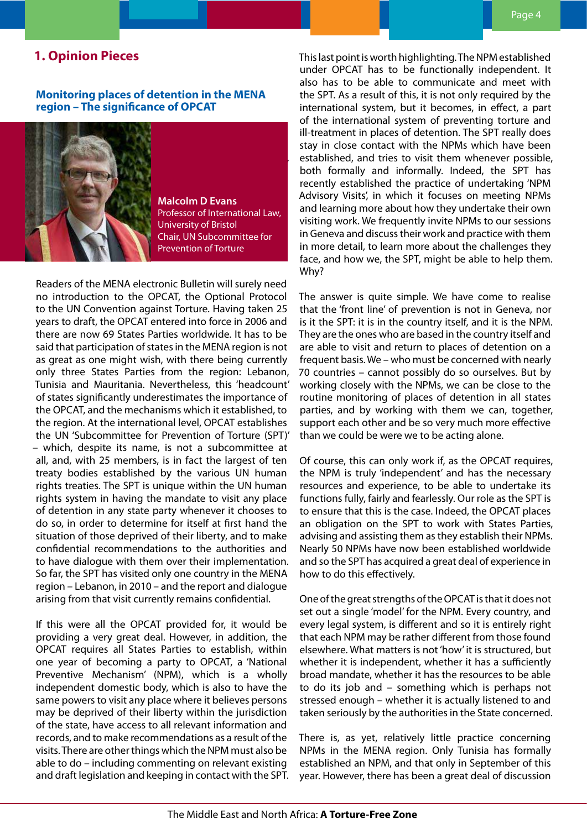# <span id="page-3-0"></span>**1. Opinion Pieces**

# **Monitoring places of detention in the MENA region – The significance of OPCAT**



**Malcolm D Evans** Professor of International Law, University of Bristol Chair, UN Subcommittee for Prevention of Torture

Readers of the MENA electronic Bulletin will surely need no introduction to the OPCAT, the Optional Protocol to the UN Convention against Torture. Having taken 25 years to draft, the OPCAT entered into force in 2006 and there are now 69 States Parties worldwide. It has to be said that participation of states in the MENA region is not as great as one might wish, with there being currently only three States Parties from the region: Lebanon, Tunisia and Mauritania. Nevertheless, this 'headcount' of states significantly underestimates the importance of the OPCAT, and the mechanisms which it established, to the region. At the international level, OPCAT establishes the UN 'Subcommittee for Prevention of Torture (SPT)' – which, despite its name, is not a subcommittee at all, and, with 25 members, is in fact the largest of ten treaty bodies established by the various UN human rights treaties. The SPT is unique within the UN human rights system in having the mandate to visit any place of detention in any state party whenever it chooses to do so, in order to determine for itself at first hand the situation of those deprived of their liberty, and to make confidential recommendations to the authorities and to have dialogue with them over their implementation. So far, the SPT has visited only one country in the MENA region – Lebanon, in 2010 – and the report and dialogue arising from that visit currently remains confidential.

If this were all the OPCAT provided for, it would be providing a very great deal. However, in addition, the OPCAT requires all States Parties to establish, within one year of becoming a party to OPCAT, a 'National Preventive Mechanism' (NPM), which is a wholly independent domestic body, which is also to have the same powers to visit any place where it believes persons may be deprived of their liberty within the jurisdiction of the state, have access to all relevant information and records, and to make recommendations as a result of the visits. There are other things which the NPM must also be able to do – including commenting on relevant existing and draft legislation and keeping in contact with the SPT. This last point is worth highlighting. The NPM established under OPCAT has to be functionally independent. It also has to be able to communicate and meet with the SPT. As a result of this, it is not only required by the international system, but it becomes, in effect, a part of the international system of preventing torture and ill-treatment in places of detention. The SPT really does stay in close contact with the NPMs which have been established, and tries to visit them whenever possible, both formally and informally. Indeed, the SPT has recently established the practice of undertaking 'NPM Advisory Visits', in which it focuses on meeting NPMs and learning more about how they undertake their own visiting work. We frequently invite NPMs to our sessions in Geneva and discuss their work and practice with them in more detail, to learn more about the challenges they face, and how we, the SPT, might be able to help them. Why?

The answer is quite simple. We have come to realise that the 'front line' of prevention is not in Geneva, nor is it the SPT: it is in the country itself, and it is the NPM. They are the ones who are based in the country itself and are able to visit and return to places of detention on a frequent basis. We – who must be concerned with nearly 70 countries – cannot possibly do so ourselves. But by working closely with the NPMs, we can be close to the routine monitoring of places of detention in all states parties, and by working with them we can, together, support each other and be so very much more effective than we could be were we to be acting alone.

Of course, this can only work if, as the OPCAT requires, the NPM is truly 'independent' and has the necessary resources and experience, to be able to undertake its functions fully, fairly and fearlessly. Our role as the SPT is to ensure that this is the case. Indeed, the OPCAT places an obligation on the SPT to work with States Parties, advising and assisting them as they establish their NPMs. Nearly 50 NPMs have now been established worldwide and so the SPT has acquired a great deal of experience in how to do this effectively.

One of the great strengths of the OPCAT is that it does not set out a single 'model' for the NPM. Every country, and every legal system, is different and so it is entirely right that each NPM may be rather different from those found elsewhere. What matters is not 'how' it is structured, but whether it is independent, whether it has a sufficiently broad mandate, whether it has the resources to be able to do its job and – something which is perhaps not stressed enough – whether it is actually listened to and taken seriously by the authorities in the State concerned.

There is, as yet, relatively little practice concerning NPMs in the MENA region. Only Tunisia has formally established an NPM, and that only in September of this year. However, there has been a great deal of discussion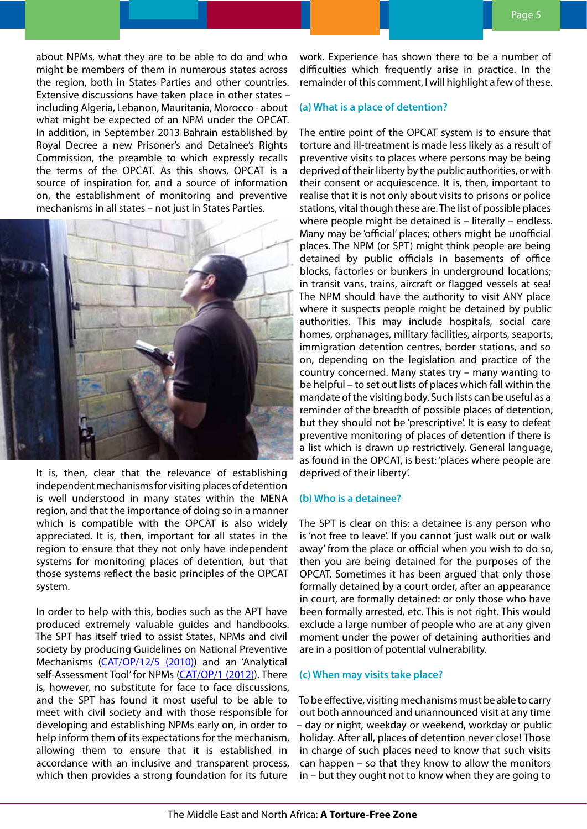about NPMs, what they are to be able to do and who might be members of them in numerous states across the region, both in States Parties and other countries. Extensive discussions have taken place in other states – including Algeria, Lebanon, Mauritania, Morocco - about what might be expected of an NPM under the OPCAT. In addition, in September 2013 Bahrain established by Royal Decree a new Prisoner's and Detainee's Rights Commission, the preamble to which expressly recalls the terms of the OPCAT. As this shows, OPCAT is a source of inspiration for, and a source of information on, the establishment of monitoring and preventive mechanisms in all states – not just in States Parties.



It is, then, clear that the relevance of establishing independent mechanisms for visiting places of detention is well understood in many states within the MENA region, and that the importance of doing so in a manner which is compatible with the OPCAT is also widely appreciated. It is, then, important for all states in the region to ensure that they not only have independent systems for monitoring places of detention, but that those systems reflect the basic principles of the OPCAT system.

In order to help with this, bodies such as the APT have produced extremely valuable guides and handbooks. The SPT has itself tried to assist States, NPMs and civil society by producing Guidelines on National Preventive Mechanisms ([CAT/OP/12/5 \(2010\)\)](http://www2.ohchr.org/english/bodies/cat/opcat/mechanisms.htm) and an 'Analytical self-Assessment Tool' for NPMs [\(CAT/OP/1 \(2012\)\)](http://www2.ohchr.org/english/bodies/cat/opcat/mechanisms.htm). There is, however, no substitute for face to face discussions, and the SPT has found it most useful to be able to meet with civil society and with those responsible for developing and establishing NPMs early on, in order to help inform them of its expectations for the mechanism, allowing them to ensure that it is established in accordance with an inclusive and transparent process, which then provides a strong foundation for its future

work. Experience has shown there to be a number of difficulties which frequently arise in practice. In the remainder of this comment, I will highlight a few of these.

#### **(a) What is a place of detention?**

The entire point of the OPCAT system is to ensure that torture and ill-treatment is made less likely as a result of preventive visits to places where persons may be being deprived of their liberty by the public authorities, or with their consent or acquiescence. It is, then, important to realise that it is not only about visits to prisons or police stations, vital though these are. The list of possible places where people might be detained is – literally – endless. Many may be 'official' places; others might be unofficial places. The NPM (or SPT) might think people are being detained by public officials in basements of office blocks, factories or bunkers in underground locations; in transit vans, trains, aircraft or flagged vessels at sea! The NPM should have the authority to visit ANY place where it suspects people might be detained by public authorities. This may include hospitals, social care homes, orphanages, military facilities, airports, seaports, immigration detention centres, border stations, and so on, depending on the legislation and practice of the country concerned. Many states try – many wanting to be helpful – to set out lists of places which fall within the mandate of the visiting body. Such lists can be useful as a reminder of the breadth of possible places of detention, but they should not be 'prescriptive'. It is easy to defeat preventive monitoring of places of detention if there is a list which is drawn up restrictively. General language, as found in the OPCAT, is best: 'places where people are deprived of their liberty'.

#### **(b) Who is a detainee?**

The SPT is clear on this: a detainee is any person who is 'not free to leave'. If you cannot 'just walk out or walk away' from the place or official when you wish to do so, then you are being detained for the purposes of the OPCAT. Sometimes it has been argued that only those formally detained by a court order, after an appearance in court, are formally detained: or only those who have been formally arrested, etc. This is not right. This would exclude a large number of people who are at any given moment under the power of detaining authorities and are in a position of potential vulnerability.

#### **(c) When may visits take place?**

To be effective, visiting mechanisms must be able to carry out both announced and unannounced visit at any time – day or night, weekday or weekend, workday or public holiday. After all, places of detention never close! Those in charge of such places need to know that such visits can happen – so that they know to allow the monitors in – but they ought not to know when they are going to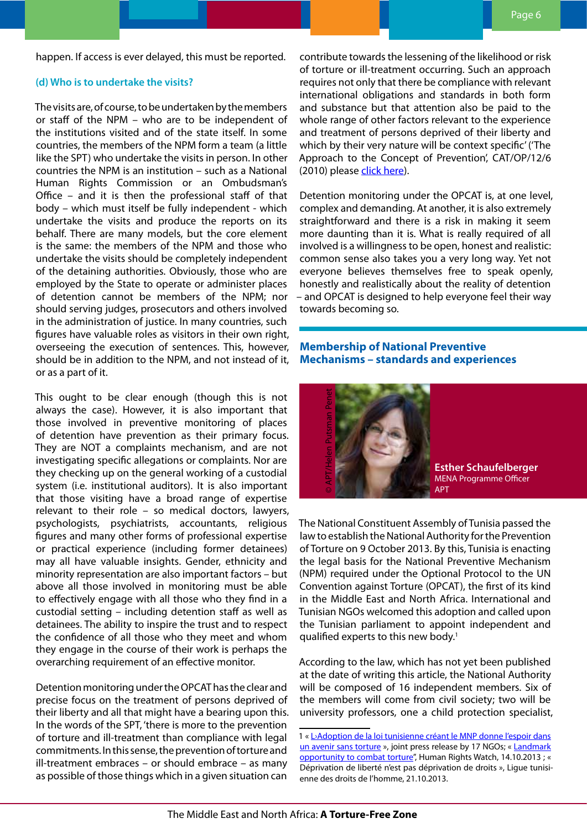<span id="page-5-0"></span>happen. If access is ever delayed, this must be reported.

#### **(d) Who is to undertake the visits?**

The visits are, of course, to be undertaken by the members or staff of the NPM – who are to be independent of the institutions visited and of the state itself. In some countries, the members of the NPM form a team (a little like the SPT) who undertake the visits in person. In other countries the NPM is an institution – such as a National Human Rights Commission or an Ombudsman's Office – and it is then the professional staff of that body – which must itself be fully independent - which undertake the visits and produce the reports on its behalf. There are many models, but the core element is the same: the members of the NPM and those who undertake the visits should be completely independent of the detaining authorities. Obviously, those who are employed by the State to operate or administer places of detention cannot be members of the NPM; nor should serving judges, prosecutors and others involved in the administration of justice. In many countries, such figures have valuable roles as visitors in their own right, overseeing the execution of sentences. This, however, should be in addition to the NPM, and not instead of it, or as a part of it.

This ought to be clear enough (though this is not always the case). However, it is also important that those involved in preventive monitoring of places of detention have prevention as their primary focus. They are NOT a complaints mechanism, and are not investigating specific allegations or complaints. Nor are they checking up on the general working of a custodial system (i.e. institutional auditors). It is also important that those visiting have a broad range of expertise relevant to their role – so medical doctors, lawyers, psychologists, psychiatrists, accountants, religious figures and many other forms of professional expertise or practical experience (including former detainees) may all have valuable insights. Gender, ethnicity and minority representation are also important factors – but above all those involved in monitoring must be able to effectively engage with all those who they find in a custodial setting – including detention staff as well as detainees. The ability to inspire the trust and to respect the confidence of all those who they meet and whom they engage in the course of their work is perhaps the overarching requirement of an effective monitor.

Detention monitoring under the OPCAT has the clear and precise focus on the treatment of persons deprived of their liberty and all that might have a bearing upon this. In the words of the SPT, 'there is more to the prevention of torture and ill-treatment than compliance with legal commitments. In this sense, the prevention of torture and ill-treatment embraces – or should embrace – as many as possible of those things which in a given situation can

contribute towards the lessening of the likelihood or risk of torture or ill-treatment occurring. Such an approach requires not only that there be compliance with relevant international obligations and standards in both form and substance but that attention also be paid to the whole range of other factors relevant to the experience and treatment of persons deprived of their liberty and which by their very nature will be context specific' ('The Approach to the Concept of Prevention', CAT/OP/12/6 (2010) please [click here\)](http://www2.ohchr.org/english/bodies/cat/opcat/ConceptPrevention.htm).

Detention monitoring under the OPCAT is, at one level, complex and demanding. At another, it is also extremely straightforward and there is a risk in making it seem more daunting than it is. What is really required of all involved is a willingness to be open, honest and realistic: common sense also takes you a very long way. Yet not everyone believes themselves free to speak openly, honestly and realistically about the reality of detention – and OPCAT is designed to help everyone feel their way towards becoming so.

# **Membership of National Preventive Mechanisms – standards and experiences**



**Esther Schaufelberger** MENA Programme Officer APT

The National Constituent Assembly of Tunisia passed the law to establish the National Authority for the Prevention of Torture on 9 October 2013. By this, Tunisia is enacting the legal basis for the National Preventive Mechanism (NPM) required under the Optional Protocol to the UN Convention against Torture (OPCAT), the first of its kind in the Middle East and North Africa. International and Tunisian NGOs welcomed this adoption and called upon the Tunisian parliament to appoint independent and qualified experts to this new body.<sup>1</sup> enne des droits de la loi tunisienne créantements de la loi tunisienne des droits de l'homme, enne des droits de l'homme des droits de l'homme de la loi tunisienne créantements of the Mation APT and the Tunisian NGOs welco

According to the law, which has not yet been published at the date of writing this article, the National Authority will be composed of 16 independent members. Six of the members will come from civil society; two will be university professors, one a child protection specialist,

<sup>1 «</sup> L'Adoption de la loi tunisienne créant le MNP donne l'espoir dans [un avenir sans torture](http://www.apt.ch/fr/resources/l-adoption-de-la-loi-tunisienne-creant-l-instance-nationale-pour-la-prevention-de-la-torture-donne-l-espoir-dans-un-avenir-sans-torture/) », joint press release by 17 NGOs; « Landmark [opportunity to combat torture](http://www.hrw.org/news/2013/10/14/tunisia-landmark-opportunity-combat-torture)", Human Rights Watch, 14.10.2013 ; « Déprivation de liberté n'est pas déprivation de droits », Ligue tunisi-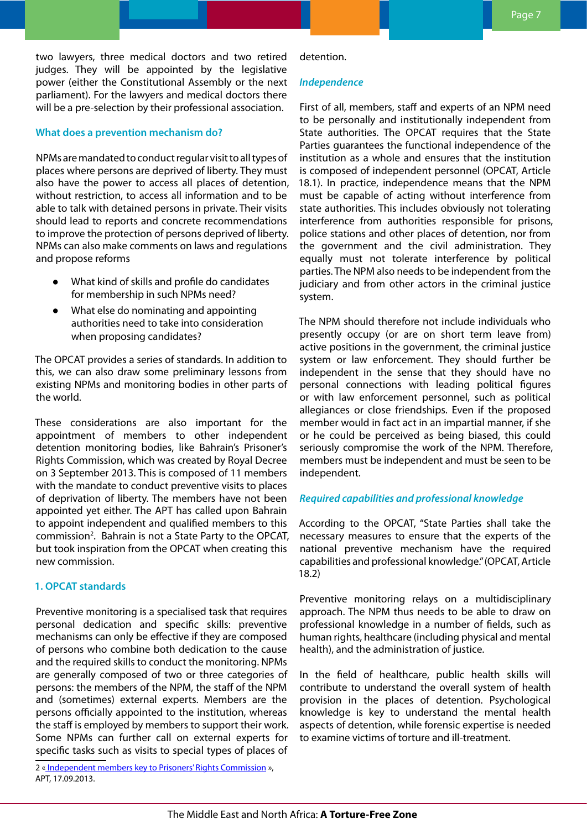two lawyers, three medical doctors and two retired judges. They will be appointed by the legislative power (either the Constitutional Assembly or the next parliament). For the lawyers and medical doctors there will be a pre-selection by their professional association.

# **What does a prevention mechanism do?**

NPMs are mandated to conduct regular visit to all types of places where persons are deprived of liberty. They must also have the power to access all places of detention, without restriction, to access all information and to be able to talk with detained persons in private. Their visits should lead to reports and concrete recommendations to improve the protection of persons deprived of liberty. NPMs can also make comments on laws and regulations and propose reforms

- What kind of skills and profile do candidates for membership in such NPMs need?
- What else do nominating and appointing authorities need to take into consideration when proposing candidates?

The OPCAT provides a series of standards. In addition to this, we can also draw some preliminary lessons from existing NPMs and monitoring bodies in other parts of the world.

These considerations are also important for the appointment of members to other independent detention monitoring bodies, like Bahrain's Prisoner's Rights Commission, which was created by Royal Decree on 3 September 2013. This is composed of 11 members with the mandate to conduct preventive visits to places of deprivation of liberty. The members have not been appointed yet either. The APT has called upon Bahrain to appoint independent and qualified members to this commission<sup>2</sup>. Bahrain is not a State Party to the OPCAT, but took inspiration from the OPCAT when creating this new commission.

# **1. OPCAT standards**

Preventive monitoring is a specialised task that requires personal dedication and specific skills: preventive mechanisms can only be effective if they are composed of persons who combine both dedication to the cause and the required skills to conduct the monitoring. NPMs are generally composed of two or three categories of persons: the members of the NPM, the staff of the NPM and (sometimes) external experts. Members are the persons officially appointed to the institution, whereas the staff is employed by members to support their work. Some NPMs can further call on external experts for specific tasks such as visits to special types of places of

2 [« Independent members key to Prisoners' Rights Commission](http://www.apt.ch/en/news_on_prevention/independent-members-key-to-new-prisoners-rights-commission-in-bahrain/#.Um-bnm0TWd4) », APT, 17.09.2013.

# detention.

#### *Independence*

First of all, members, staff and experts of an NPM need to be personally and institutionally independent from State authorities. The OPCAT requires that the State Parties guarantees the functional independence of the institution as a whole and ensures that the institution is composed of independent personnel (OPCAT, Article 18.1). In practice, independence means that the NPM must be capable of acting without interference from state authorities. This includes obviously not tolerating interference from authorities responsible for prisons, police stations and other places of detention, nor from the government and the civil administration. They equally must not tolerate interference by political parties. The NPM also needs to be independent from the judiciary and from other actors in the criminal justice system.

The NPM should therefore not include individuals who presently occupy (or are on short term leave from) active positions in the government, the criminal justice system or law enforcement. They should further be independent in the sense that they should have no personal connections with leading political figures or with law enforcement personnel, such as political allegiances or close friendships. Even if the proposed member would in fact act in an impartial manner, if she or he could be perceived as being biased, this could seriously compromise the work of the NPM. Therefore, members must be independent and must be seen to be independent.

# *Required capabilities and professional knowledge*

According to the OPCAT, "State Parties shall take the necessary measures to ensure that the experts of the national preventive mechanism have the required capabilities and professional knowledge." (OPCAT, Article 18.2)

Preventive monitoring relays on a multidisciplinary approach. The NPM thus needs to be able to draw on professional knowledge in a number of fields, such as human rights, healthcare (including physical and mental health), and the administration of justice.

In the field of healthcare, public health skills will contribute to understand the overall system of health provision in the places of detention. Psychological knowledge is key to understand the mental health aspects of detention, while forensic expertise is needed to examine victims of torture and ill-treatment.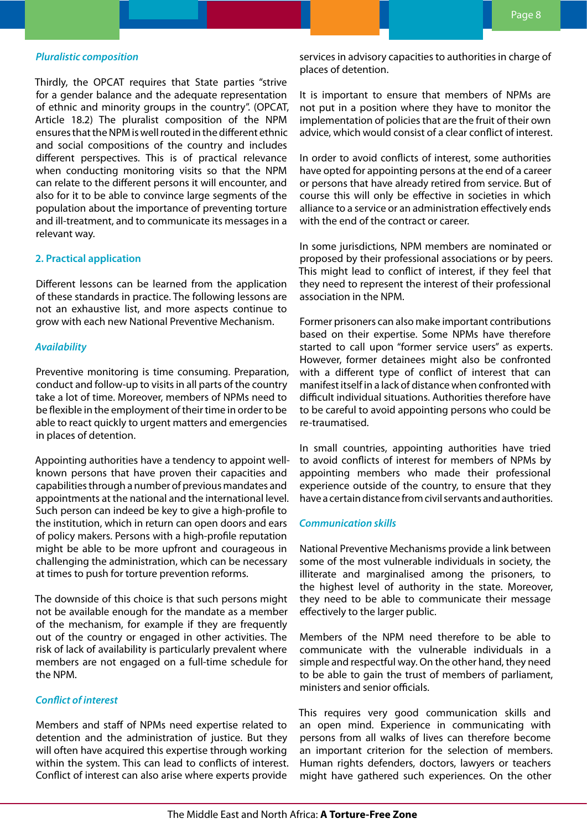#### *Pluralistic composition*

Thirdly, the OPCAT requires that State parties "strive for a gender balance and the adequate representation of ethnic and minority groups in the country". (OPCAT, Article 18.2) The pluralist composition of the NPM ensures that the NPM is well routed in the different ethnic and social compositions of the country and includes different perspectives. This is of practical relevance when conducting monitoring visits so that the NPM can relate to the different persons it will encounter, and also for it to be able to convince large segments of the population about the importance of preventing torture and ill-treatment, and to communicate its messages in a relevant way.

#### **2. Practical application**

Different lessons can be learned from the application of these standards in practice. The following lessons are not an exhaustive list, and more aspects continue to grow with each new National Preventive Mechanism.

#### *Availability*

Preventive monitoring is time consuming. Preparation, conduct and follow-up to visits in all parts of the country take a lot of time. Moreover, members of NPMs need to be flexible in the employment of their time in order to be able to react quickly to urgent matters and emergencies in places of detention.

Appointing authorities have a tendency to appoint wellknown persons that have proven their capacities and capabilities through a number of previous mandates and appointments at the national and the international level. Such person can indeed be key to give a high-profile to the institution, which in return can open doors and ears of policy makers. Persons with a high-profile reputation might be able to be more upfront and courageous in challenging the administration, which can be necessary at times to push for torture prevention reforms.

The downside of this choice is that such persons might not be available enough for the mandate as a member of the mechanism, for example if they are frequently out of the country or engaged in other activities. The risk of lack of availability is particularly prevalent where members are not engaged on a full-time schedule for the NPM.

# *Conflict of interest*

Members and staff of NPMs need expertise related to detention and the administration of justice. But they will often have acquired this expertise through working within the system. This can lead to conflicts of interest. Conflict of interest can also arise where experts provide

services in advisory capacities to authorities in charge of places of detention.

It is important to ensure that members of NPMs are not put in a position where they have to monitor the implementation of policies that are the fruit of their own advice, which would consist of a clear conflict of interest.

In order to avoid conflicts of interest, some authorities have opted for appointing persons at the end of a career or persons that have already retired from service. But of course this will only be effective in societies in which alliance to a service or an administration effectively ends with the end of the contract or career.

In some jurisdictions, NPM members are nominated or proposed by their professional associations or by peers. This might lead to conflict of interest, if they feel that they need to represent the interest of their professional association in the NPM.

Former prisoners can also make important contributions based on their expertise. Some NPMs have therefore started to call upon "former service users" as experts. However, former detainees might also be confronted with a different type of conflict of interest that can manifest itself in a lack of distance when confronted with difficult individual situations. Authorities therefore have to be careful to avoid appointing persons who could be re-traumatised.

In small countries, appointing authorities have tried to avoid conflicts of interest for members of NPMs by appointing members who made their professional experience outside of the country, to ensure that they have a certain distance from civil servants and authorities.

## *Communication skills*

National Preventive Mechanisms provide a link between some of the most vulnerable individuals in society, the illiterate and marginalised among the prisoners, to the highest level of authority in the state. Moreover, they need to be able to communicate their message effectively to the larger public.

Members of the NPM need therefore to be able to communicate with the vulnerable individuals in a simple and respectful way. On the other hand, they need to be able to gain the trust of members of parliament, ministers and senior officials.

This requires very good communication skills and an open mind. Experience in communicating with persons from all walks of lives can therefore become an important criterion for the selection of members. Human rights defenders, doctors, lawyers or teachers might have gathered such experiences. On the other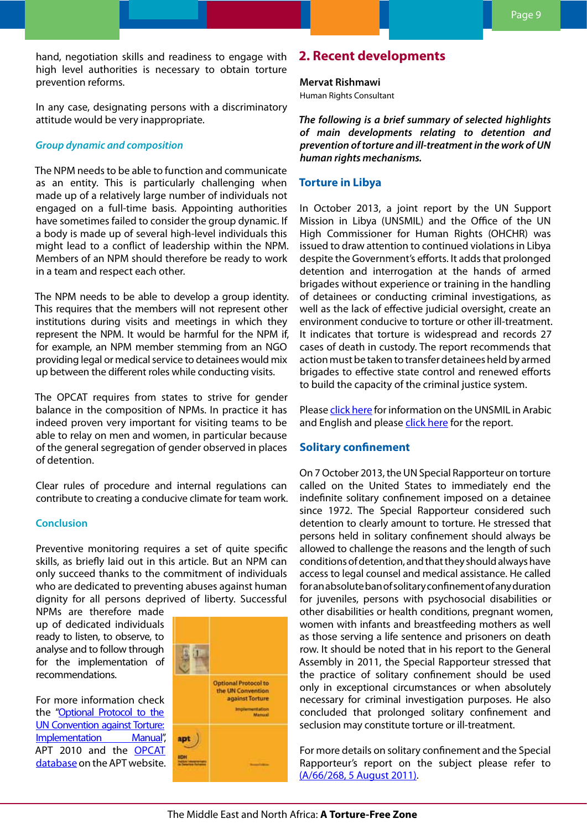<span id="page-8-0"></span>hand, negotiation skills and readiness to engage with high level authorities is necessary to obtain torture prevention reforms.

In any case, designating persons with a discriminatory attitude would be very inappropriate.

## *Group dynamic and composition*

The NPM needs to be able to function and communicate as an entity. This is particularly challenging when made up of a relatively large number of individuals not engaged on a full-time basis. Appointing authorities have sometimes failed to consider the group dynamic. If a body is made up of several high-level individuals this might lead to a conflict of leadership within the NPM. Members of an NPM should therefore be ready to work in a team and respect each other.

The NPM needs to be able to develop a group identity. This requires that the members will not represent other institutions during visits and meetings in which they represent the NPM. It would be harmful for the NPM if, for example, an NPM member stemming from an NGO providing legal or medical service to detainees would mix up between the different roles while conducting visits.

The OPCAT requires from states to strive for gender balance in the composition of NPMs. In practice it has indeed proven very important for visiting teams to be able to relay on men and women, in particular because of the general segregation of gender observed in places of detention.

Clear rules of procedure and internal regulations can contribute to creating a conducive climate for team work.

# **Conclusion**

Preventive monitoring requires a set of quite specific skills, as briefly laid out in this article. But an NPM can only succeed thanks to the commitment of individuals who are dedicated to preventing abuses against human dignity for all persons deprived of liberty. Successful

NPMs are therefore made up of dedicated individuals ready to listen, to observe, to analyse and to follow through for the implementation of recommendations.

For more information check the ["Optional Protocol to the](http://www.apt.ch/en/resources/the-optional-protocol-implementation-manual/?cat=60) [UN Convention against Torture:](http://www.apt.ch/en/resources/the-optional-protocol-implementation-manual/?cat=60)  [Implementation Manual"](http://www.apt.ch/en/resources/the-optional-protocol-implementation-manual/?cat=60), APT 2010 and the [OPCAT](http://www.apt.ch/en/opcat-database/)  [database](http://www.apt.ch/en/opcat-database/) on the APT website.



# **2. Recent developments**

#### **Mervat Rishmawi**

Human Rights Consultant

*The following is a brief summary of selected highlights of main developments relating to detention and prevention of torture and ill-treatment in the work of UN human rights mechanisms.*

# **Torture in Libya**

In October 2013, a joint report by the UN Support Mission in Libya (UNSMIL) and the Office of the UN High Commissioner for Human Rights (OHCHR) was issued to draw attention to continued violations in Libya despite the Government's efforts. It adds that prolonged detention and interrogation at the hands of armed brigades without experience or training in the handling of detainees or conducting criminal investigations, as well as the lack of effective judicial oversight, create an environment conducive to torture or other ill-treatment. It indicates that torture is widespread and records 27 cases of death in custody. The report recommends that action must be taken to transfer detainees held by armed brigades to effective state control and renewed efforts to build the capacity of the criminal justice system.

Please [click here](http://unsmil.unmissions.org/Default.aspx?alias=unsmil.unmissions.org&language=en-US) for information on the UNSMIL in Arabic and English and please [click here](http://unsmil.unmissions.org/Default.aspx?tabid=3543&ctl=Details&mid=6187&ItemID=1736410&language=en-US) for the report.

# **Solitary confinement**

On 7 October 2013, the UN Special Rapporteur on torture called on the United States to immediately end the indefinite solitary confinement imposed on a detainee since 1972. The Special Rapporteur considered such detention to clearly amount to torture. He stressed that persons held in solitary confinement should always be allowed to challenge the reasons and the length of such conditions of detention, and that they should always have access to legal counsel and medical assistance. He called for an absolute ban of solitary confinement of any duration for juveniles, persons with psychosocial disabilities or other disabilities or health conditions, pregnant women, women with infants and breastfeeding mothers as well as those serving a life sentence and prisoners on death row. It should be noted that in his report to the General Assembly in 2011, the Special Rapporteur stressed that the practice of solitary confinement should be used only in exceptional circumstances or when absolutely necessary for criminal investigation purposes. He also concluded that prolonged solitary confinement and seclusion may constitute torture or ill-treatment.

For more details on solitary confinement and the Special Rapporteur's report on the subject please refer to [\(A/66/268, 5 August 2011\).](http://ap.ohchr.org/documents/dpage_e.aspx?m=103)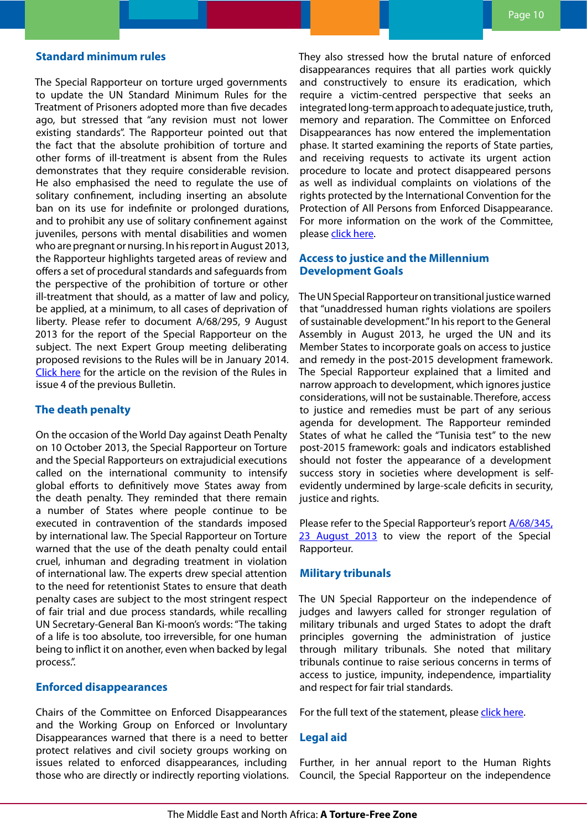# <span id="page-9-0"></span>**Standard minimum rules**

The Special Rapporteur on torture urged governments to update the UN Standard Minimum Rules for the Treatment of Prisoners adopted more than five decades ago, but stressed that "any revision must not lower existing standards". The Rapporteur pointed out that the fact that the absolute prohibition of torture and other forms of ill-treatment is absent from the Rules demonstrates that they require considerable revision. He also emphasised the need to regulate the use of solitary confinement, including inserting an absolute ban on its use for indefinite or prolonged durations, and to prohibit any use of solitary confinement against juveniles, persons with mental disabilities and women who are pregnant or nursing. In his report in August 2013, the Rapporteur highlights targeted areas of review and offers a set of procedural standards and safeguards from the perspective of the prohibition of torture or other ill-treatment that should, as a matter of law and policy, be applied, at a minimum, to all cases of deprivation of liberty. Please refer to document A/68/295, 9 August 2013 for the report of the Special Rapporteur on the subject. The next Expert Group meeting deliberating proposed revisions to the Rules will be in January 2014. [Click here](http://www.apt.ch/content/files_res/mena_bulletin04_en.pdf) for the article on the revision of the Rules in issue 4 of the previous Bulletin.

## **The death penalty**

On the occasion of the World Day against Death Penalty on 10 October 2013, the Special Rapporteur on Torture and the Special Rapporteurs on extrajudicial executions called on the international community to intensify global efforts to definitively move States away from the death penalty. They reminded that there remain a number of States where people continue to be executed in contravention of the standards imposed by international law. The Special Rapporteur on Torture warned that the use of the death penalty could entail cruel, inhuman and degrading treatment in violation of international law. The experts drew special attention to the need for retentionist States to ensure that death penalty cases are subject to the most stringent respect of fair trial and due process standards, while recalling UN Secretary-General Ban Ki-moon's words: "The taking of a life is too absolute, too irreversible, for one human being to inflict it on another, even when backed by legal process.".

#### **Enforced disappearances**

Chairs of the Committee on Enforced Disappearances and the Working Group on Enforced or Involuntary Disappearances warned that there is a need to better protect relatives and civil society groups working on issues related to enforced disappearances, including those who are directly or indirectly reporting violations. They also stressed how the brutal nature of enforced disappearances requires that all parties work quickly and constructively to ensure its eradication, which require a victim-centred perspective that seeks an integrated long-term approach to adequate justice, truth, memory and reparation. The Committee on Enforced Disappearances has now entered the implementation phase. It started examining the reports of State parties, and receiving requests to activate its urgent action procedure to locate and protect disappeared persons as well as individual complaints on violations of the rights protected by the International Convention for the Protection of All Persons from Enforced Disappearance. For more information on the work of the Committee, please [click here.](http://www.ohchr.org/EN/HRBodies/CED/Pages/CEDIndex.aspx)

# **Access to justice and the Millennium Development Goals**

The UN Special Rapporteur on transitional justice warned that "unaddressed human rights violations are spoilers of sustainable development." In his report to the General Assembly in August 2013, he urged the UN and its Member States to incorporate goals on access to justice and remedy in the post-2015 development framework. The Special Rapporteur explained that a limited and narrow approach to development, which ignores justice considerations, will not be sustainable. Therefore, access to justice and remedies must be part of any serious agenda for development. The Rapporteur reminded States of what he called the "Tunisia test" to the new post-2015 framework: goals and indicators established should not foster the appearance of a development success story in societies where development is selfevidently undermined by large-scale deficits in security, justice and rights.

Please refer to the Special Rapporteur's report **A/68/345**, [23 August 2013](http://ap.ohchr.org/documents/dpage_e.aspx?m=193) to view the report of the Special Rapporteur.

#### **Military tribunals**

The UN Special Rapporteur on the independence of judges and lawyers called for stronger regulation of military tribunals and urged States to adopt the draft principles governing the administration of justice through military tribunals. She noted that military tribunals continue to raise serious concerns in terms of access to justice, impunity, independence, impartiality and respect for fair trial standards.

For the full text of the statement, please [click here.](http://www.ohchr.org/EN/NewsEvents/Pages/DisplayNews.aspx?NewsID=13911&LangID=E)

#### **Legal aid**

Further, in her annual report to the Human Rights Council, the Special Rapporteur on the independence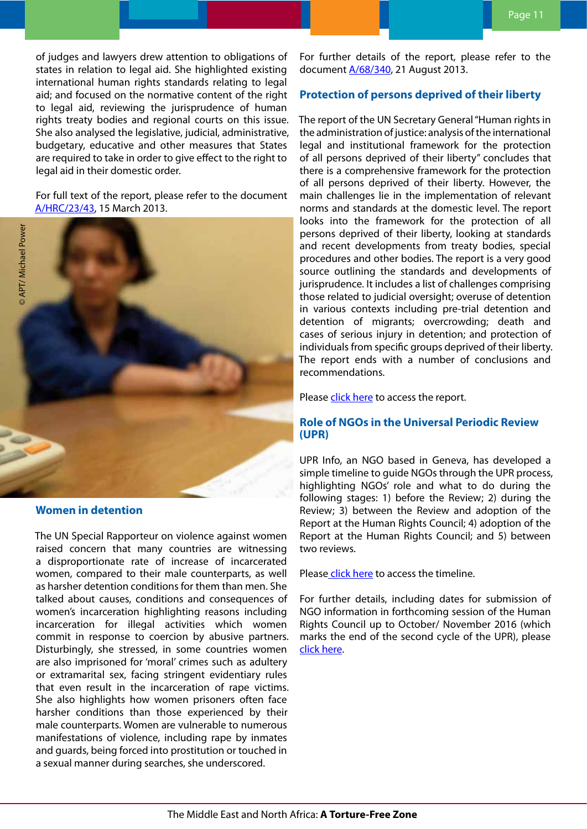<span id="page-10-0"></span>of judges and lawyers drew attention to obligations of states in relation to legal aid. She highlighted existing international human rights standards relating to legal aid; and focused on the normative content of the right to legal aid, reviewing the jurisprudence of human rights treaty bodies and regional courts on this issue. She also analysed the legislative, judicial, administrative, budgetary, educative and other measures that States are required to take in order to give effect to the right to legal aid in their domestic order.

For full text of the report, please refer to the document [A/HRC/23/43,](http://ap.ohchr.org/documents/dpage_e.aspx?si=A/HRC/23/43) 15 March 2013.



**Women in detention**

The UN Special Rapporteur on violence against women raised concern that many countries are witnessing a disproportionate rate of increase of incarcerated women, compared to their male counterparts, as well as harsher detention conditions for them than men. She talked about causes, conditions and consequences of women's incarceration highlighting reasons including incarceration for illegal activities which women commit in response to coercion by abusive partners. Disturbingly, she stressed, in some countries women are also imprisoned for 'moral' crimes such as adultery or extramarital sex, facing stringent evidentiary rules that even result in the incarceration of rape victims. She also highlights how women prisoners often face harsher conditions than those experienced by their male counterparts. Women are vulnerable to numerous manifestations of violence, including rape by inmates and guards, being forced into prostitution or touched in a sexual manner during searches, she underscored.

For further details of the report, please refer to the document [A/68/340](http://www.ohchr.org/Documents/Issues/Women/A-68-340.pdf), 21 August 2013.

# **Protection of persons deprived of their liberty**

The report of the UN Secretary General "Human rights in the administration of justice: analysis of the international legal and institutional framework for the protection of all persons deprived of their liberty" concludes that there is a comprehensive framework for the protection of all persons deprived of their liberty. However, the main challenges lie in the implementation of relevant norms and standards at the domestic level. The report looks into the framework for the protection of all persons deprived of their liberty, looking at standards and recent developments from treaty bodies, special procedures and other bodies. The report is a very good source outlining the standards and developments of jurisprudence. It includes a list of challenges comprising those related to judicial oversight; overuse of detention in various contexts including pre-trial detention and detention of migrants; overcrowding; death and cases of serious injury in detention; and protection of individuals from specific groups deprived of their liberty. The report ends with a number of conclusions and recommendations.

Please [click here](http://www.ohchr.org/EN/HRBodies/HRC/RegularSessions/Session24/Documents/A-68-261-ENG.pdf) to access the report.

# **Role of NGOs in the Universal Periodic Review (UPR)**

UPR Info, an NGO based in Geneva, has developed a simple timeline to guide NGOs through the UPR process, highlighting NGOs' role and what to do during the following stages: 1) before the Review; 2) during the Review; 3) between the Review and adoption of the Report at the Human Rights Council; 4) adoption of the Report at the Human Rights Council; and 5) between two reviews.

Pleas[e click here](http://www.upr-info.org/IMG/pdf/timeline_ngo_participation_e.pdf) to access the timeline.

For further details, including dates for submission of NGO information in forthcoming session of the Human Rights Council up to October/ November 2016 (which marks the end of the second cycle of the UPR), please [click here](http://www.upr-info.org/-NGOs-.html).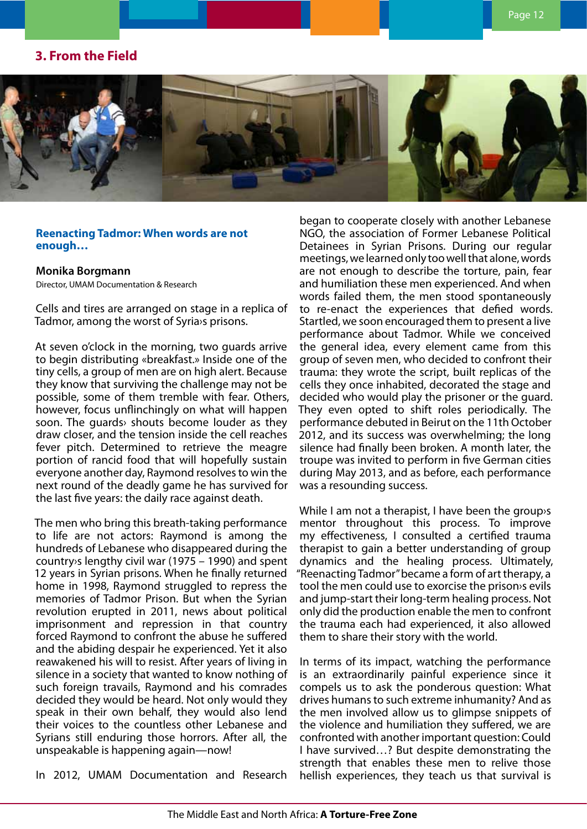# <span id="page-11-0"></span>**3. From the Field**



# **Reenacting Tadmor: When words are not enough…**

**Monika Borgmann**

Director, UMAM Documentation & Research

Cells and tires are arranged on stage in a replica of Tadmor, among the worst of Syria›s prisons.

At seven o'clock in the morning, two guards arrive to begin distributing «breakfast.» Inside one of the tiny cells, a group of men are on high alert. Because they know that surviving the challenge may not be possible, some of them tremble with fear. Others, however, focus unflinchingly on what will happen soon. The guards› shouts become louder as they draw closer, and the tension inside the cell reaches fever pitch. Determined to retrieve the meagre portion of rancid food that will hopefully sustain everyone another day, Raymond resolves to win the next round of the deadly game he has survived for the last five years: the daily race against death.

The men who bring this breath-taking performance to life are not actors: Raymond is among the hundreds of Lebanese who disappeared during the country›s lengthy civil war (1975 – 1990) and spent 12 years in Syrian prisons. When he finally returned home in 1998, Raymond struggled to repress the memories of Tadmor Prison. But when the Syrian revolution erupted in 2011, news about political imprisonment and repression in that country forced Raymond to confront the abuse he suffered and the abiding despair he experienced. Yet it also reawakened his will to resist. After years of living in silence in a society that wanted to know nothing of such foreign travails, Raymond and his comrades decided they would be heard. Not only would they speak in their own behalf, they would also lend their voices to the countless other Lebanese and Syrians still enduring those horrors. After all, the unspeakable is happening again—now!

In 2012, UMAM Documentation and Research

began to cooperate closely with another Lebanese NGO, the association of Former Lebanese Political Detainees in Syrian Prisons. During our regular meetings, we learned only too well that alone, words are not enough to describe the torture, pain, fear and humiliation these men experienced. And when words failed them, the men stood spontaneously to re-enact the experiences that defied words. Startled, we soon encouraged them to present a live performance about Tadmor. While we conceived the general idea, every element came from this group of seven men, who decided to confront their trauma: they wrote the script, built replicas of the cells they once inhabited, decorated the stage and decided who would play the prisoner or the guard. They even opted to shift roles periodically. The performance debuted in Beirut on the 11th October 2012, and its success was overwhelming; the long silence had finally been broken. A month later, the troupe was invited to perform in five German cities during May 2013, and as before, each performance was a resounding success.

While I am not a therapist, I have been the group›s mentor throughout this process. To improve my effectiveness, I consulted a certified trauma therapist to gain a better understanding of group dynamics and the healing process. Ultimately, "Reenacting Tadmor" became a form of art therapy, a tool the men could use to exorcise the prison›s evils and jump-start their long-term healing process. Not only did the production enable the men to confront the trauma each had experienced, it also allowed them to share their story with the world.

In terms of its impact, watching the performance is an extraordinarily painful experience since it compels us to ask the ponderous question: What drives humans to such extreme inhumanity? And as the men involved allow us to glimpse snippets of the violence and humiliation they suffered, we are confronted with another important question: Could I have survived…? But despite demonstrating the strength that enables these men to relive those hellish experiences, they teach us that survival is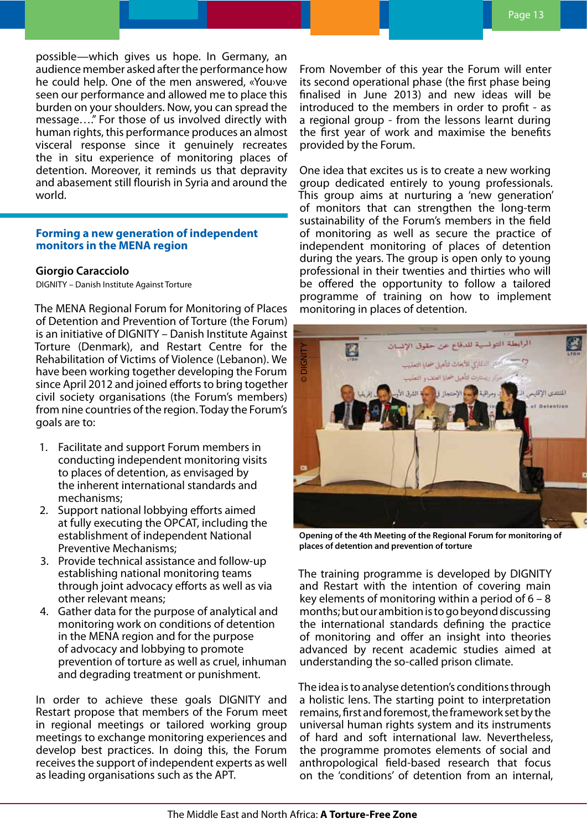<span id="page-12-0"></span>possible—which gives us hope. In Germany, an audience member asked after the performance how he could help. One of the men answered, «You›ve seen our performance and allowed me to place this burden on your shoulders. Now, you can spread the message…." For those of us involved directly with human rights, this performance produces an almost visceral response since it genuinely recreates the in situ experience of monitoring places of detention. Moreover, it reminds us that depravity and abasement still flourish in Syria and around the world.

# **Forming a new generation of independent monitors in the MENA region**

# **Giorgio Caracciolo**

DIGNITY – Danish Institute Against Torture

The MENA Regional Forum for Monitoring of Places of Detention and Prevention of Torture (the Forum) is an initiative of DIGNITY – Danish Institute Against Torture (Denmark), and Restart Centre for the Rehabilitation of Victims of Violence (Lebanon). We have been working together developing the Forum since April 2012 and joined efforts to bring together civil society organisations (the Forum's members) from nine countries of the region. Today the Forum's goals are to:

- 1. Facilitate and support Forum members in conducting independent monitoring visits to places of detention, as envisaged by the inherent international standards and mechanisms;
- 2. Support national lobbying efforts aimed at fully executing the OPCAT, including the establishment of independent National Preventive Mechanisms;
- 3. Provide technical assistance and follow-up establishing national monitoring teams through joint advocacy efforts as well as via other relevant means;
- 4. Gather data for the purpose of analytical and monitoring work on conditions of detention in the MENA region and for the purpose of advocacy and lobbying to promote prevention of torture as well as cruel, inhuman and degrading treatment or punishment.

In order to achieve these goals DIGNITY and Restart propose that members of the Forum meet in regional meetings or tailored working group meetings to exchange monitoring experiences and develop best practices. In doing this, the Forum receives the support of independent experts as well as leading organisations such as the APT.

From November of this year the Forum will enter its second operational phase (the first phase being finalised in June 2013) and new ideas will be introduced to the members in order to profit - as a regional group - from the lessons learnt during the first year of work and maximise the benefits provided by the Forum.

One idea that excites us is to create a new working group dedicated entirely to young professionals. This group aims at nurturing a 'new generation' of monitors that can strengthen the long-term sustainability of the Forum's members in the field of monitoring as well as secure the practice of independent monitoring of places of detention during the years. The group is open only to young professional in their twenties and thirties who will be offered the opportunity to follow a tailored programme of training on how to implement monitoring in places of detention.



**Opening of the 4th Meeting of the Regional Forum for monitoring of** 

The training programme is developed by DIGNITY and Restart with the intention of covering main key elements of monitoring within a period of 6 – 8 months; but our ambition is to go beyond discussing the international standards defining the practice of monitoring and offer an insight into theories advanced by recent academic studies aimed at understanding the so-called prison climate.

The idea is to analyse detention's conditions through a holistic lens. The starting point to interpretation remains, first and foremost, the framework set by the universal human rights system and its instruments of hard and soft international law. Nevertheless, the programme promotes elements of social and anthropological field-based research that focus on the 'conditions' of detention from an internal,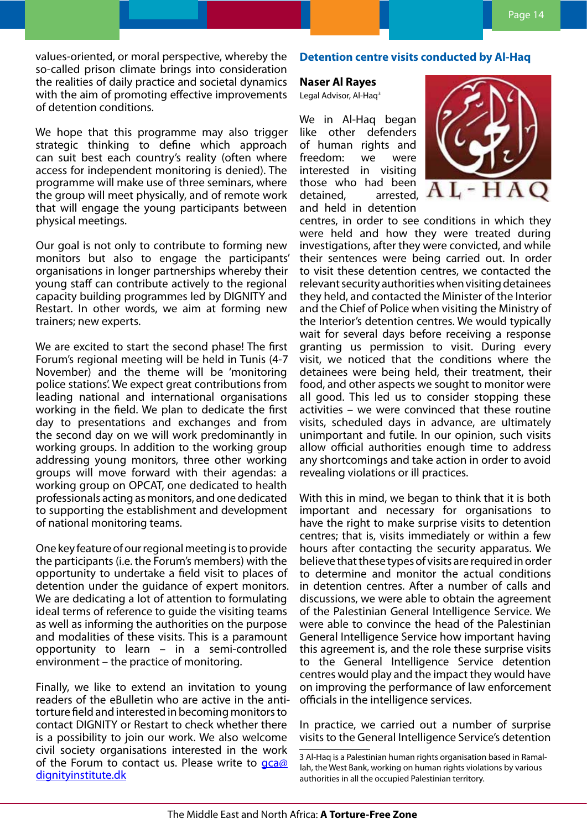<span id="page-13-0"></span>values-oriented, or moral perspective, whereby the so-called prison climate brings into consideration the realities of daily practice and societal dynamics with the aim of promoting effective improvements of detention conditions.

We hope that this programme may also trigger strategic thinking to define which approach can suit best each country's reality (often where access for independent monitoring is denied). The programme will make use of three seminars, where the group will meet physically, and of remote work that will engage the young participants between physical meetings.

Our goal is not only to contribute to forming new monitors but also to engage the participants' organisations in longer partnerships whereby their young staff can contribute actively to the regional capacity building programmes led by DIGNITY and Restart. In other words, we aim at forming new trainers; new experts.

We are excited to start the second phase! The first Forum's regional meeting will be held in Tunis (4-7 November) and the theme will be 'monitoring police stations'. We expect great contributions from leading national and international organisations working in the field. We plan to dedicate the first day to presentations and exchanges and from the second day on we will work predominantly in working groups. In addition to the working group addressing young monitors, three other working groups will move forward with their agendas: a working group on OPCAT, one dedicated to health professionals acting as monitors, and one dedicated to supporting the establishment and development of national monitoring teams.

One key feature of our regional meeting is to provide the participants (i.e. the Forum's members) with the opportunity to undertake a field visit to places of detention under the guidance of expert monitors. We are dedicating a lot of attention to formulating ideal terms of reference to guide the visiting teams as well as informing the authorities on the purpose and modalities of these visits. This is a paramount opportunity to learn – in a semi-controlled environment – the practice of monitoring.

Finally, we like to extend an invitation to young readers of the eBulletin who are active in the antitorture field and interested in becoming monitors to contact DIGNITY or Restart to check whether there is a possibility to join our work. We also welcome civil society organisations interested in the work of the Forum to contact us. Please write to  $qca@$ [dignityinstitute.dk](mailto:gca%40dignityinstitute.dk?subject=APT%20MENA%20Newsletter)

# **Detention centre visits conducted by Al-Haq**

# **Naser Al Rayes**

Legal Advisor, Al-Hag<sup>3</sup>

We in Al-Haq began like other defenders of human rights and freedom: we were interested in visiting those who had been detained, arrested, and held in detention



centres, in order to see conditions in which they were held and how they were treated during investigations, after they were convicted, and while their sentences were being carried out. In order to visit these detention centres, we contacted the relevant security authorities when visiting detainees they held, and contacted the Minister of the Interior and the Chief of Police when visiting the Ministry of the Interior's detention centres. We would typically wait for several days before receiving a response granting us permission to visit. During every visit, we noticed that the conditions where the detainees were being held, their treatment, their food, and other aspects we sought to monitor were all good. This led us to consider stopping these activities – we were convinced that these routine visits, scheduled days in advance, are ultimately unimportant and futile. In our opinion, such visits allow official authorities enough time to address any shortcomings and take action in order to avoid revealing violations or ill practices.

With this in mind, we began to think that it is both important and necessary for organisations to have the right to make surprise visits to detention centres; that is, visits immediately or within a few hours after contacting the security apparatus. We believe that these types of visits are required in order to determine and monitor the actual conditions in detention centres. After a number of calls and discussions, we were able to obtain the agreement of the Palestinian General Intelligence Service. We were able to convince the head of the Palestinian General Intelligence Service how important having this agreement is, and the role these surprise visits to the General Intelligence Service detention centres would play and the impact they would have on improving the performance of law enforcement officials in the intelligence services.

In practice, we carried out a number of surprise visits to the General Intelligence Service's detention

<sup>3</sup> Al-Haq is a Palestinian human rights organisation based in Ramallah, the West Bank, working on human rights violations by various authorities in all the occupied Palestinian territory.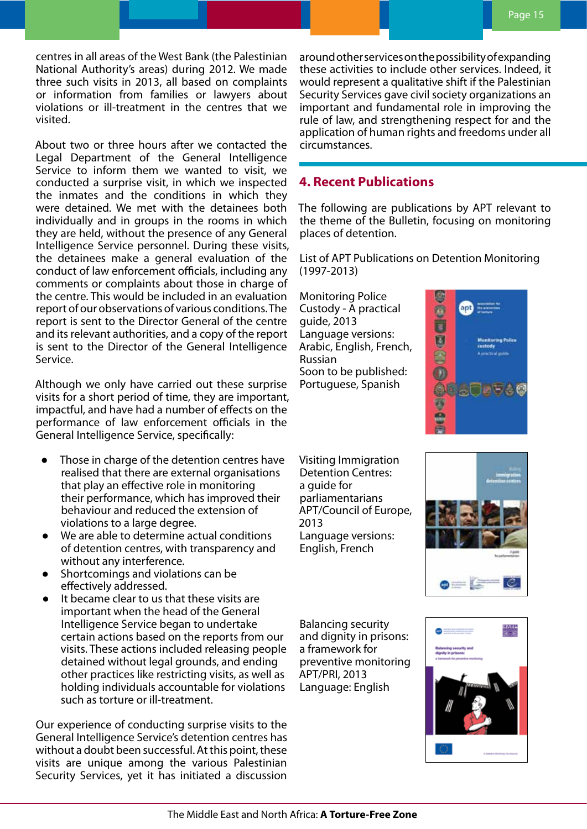<span id="page-14-0"></span>centres in all areas of the West Bank (the Palestinian National Authority's areas) during 2012. We made three such visits in 2013, all based on complaints or information from families or lawyers about violations or ill-treatment in the centres that we visited.

About two or three hours after we contacted the Legal Department of the General Intelligence Service to inform them we wanted to visit, we conducted a surprise visit, in which we inspected the inmates and the conditions in which they were detained. We met with the detainees both individually and in groups in the rooms in which they are held, without the presence of any General Intelligence Service personnel. During these visits, the detainees make a general evaluation of the conduct of law enforcement officials, including any comments or complaints about those in charge of the centre. This would be included in an evaluation report of our observations of various conditions. The report is sent to the Director General of the centre and its relevant authorities, and a copy of the report is sent to the Director of the General Intelligence Service.

Although we only have carried out these surprise visits for a short period of time, they are important, impactful, and have had a number of effects on the performance of law enforcement officials in the General Intelligence Service, specifically:

- Those in charge of the detention centres have realised that there are external organisations that play an effective role in monitoring their performance, which has improved their behaviour and reduced the extension of violations to a large degree.
- We are able to determine actual conditions of detention centres, with transparency and without any interference.
- Shortcomings and violations can be effectively addressed.
- It became clear to us that these visits are important when the head of the General Intelligence Service began to undertake certain actions based on the reports from our visits. These actions included releasing people detained without legal grounds, and ending other practices like restricting visits, as well as holding individuals accountable for violations such as torture or ill-treatment.

Our experience of conducting surprise visits to the General Intelligence Service's detention centres has without a doubt been successful. At this point, these visits are unique among the various Palestinian Security Services, yet it has initiated a discussion around other services on the possibility of expanding these activities to include other services. Indeed, it would represent a qualitative shift if the Palestinian Security Services gave civil society organizations an important and fundamental role in improving the rule of law, and strengthening respect for and the application of human rights and freedoms under all circumstances.

# **4. Recent Publications**

The following are publications by APT relevant to the theme of the Bulletin, focusing on monitoring places of detention.

List of APT Publications on Detention Monitoring (1997-2013)

Monitoring Police Custody - A practical guide, 2013 Language versions: Arabic, English, French, Russian Soon to be published: Portuguese, Spanish



Visiting Immigration Detention Centres: a guide for parliamentarians APT/Council of Europe, 2013 Language versions: English, French



Balancing security and dignity in prisons: a framework for preventive monitoring APT/PRI, 2013 Language: English

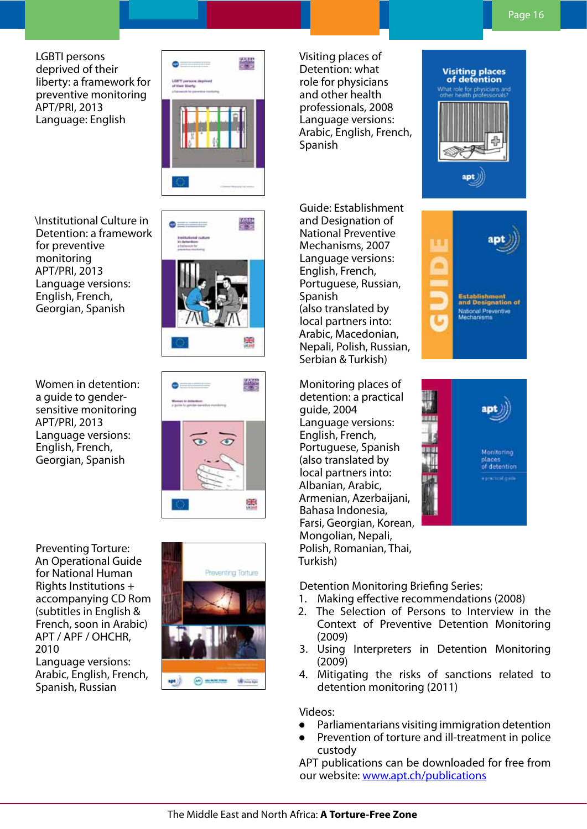LGBTI persons deprived of their liberty: a framework for preventive monitoring APT/PRI, 2013 Language: English



\Institutional Culture in Detention: a framework for preventive monitoring APT/PRI, 2013 Language versions: English, French, Georgian, Spanish



0

禁

ăВ,

Women in detention: a guide to gendersensitive monitoring APT/PRI, 2013 Language versions: English, French, Georgian, Spanish

Preventing Torture: An Operational Guide for National Human Rights Institutions + accompanying CD Rom (subtitles in English & French, soon in Arabic) APT / APF / OHCHR, 2010 Language versions: Arabic, English, French, Spanish, Russian



Visiting places of Detention: what role for physicians and other health professionals, 2008 Language versions: Arabic, English, French, Spanish

Guide: Establishment and Designation of National Preventive Mechanisms, 2007 Language versions: English, French, Portuguese, Russian, Spanish (also translated by local partners into: Arabic, Macedonian, Nepali, Polish, Russian, Serbian & Turkish)

Monitoring places of detention: a practical guide, 2004 Language versions: English, French, Portuguese, Spanish (also translated by local partners into: Albanian, Arabic, Armenian, Azerbaijani, Bahasa Indonesia, Farsi, Georgian, Korean, Mongolian, Nepali, Polish, Romanian, Thai, Turkish)



**Visiting places**<br>of detention



Detention Monitoring Briefing Series:

- 1. Making effective recommendations (2008)
- 2. The Selection of Persons to Interview in the Context of Preventive Detention Monitoring (2009)
- 3. Using Interpreters in Detention Monitoring (2009)
- 4. Mitigating the risks of sanctions related to detention monitoring (2011)

# Videos:

- Parliamentarians visiting immigration detention
- Prevention of torture and ill-treatment in police custody

APT publications can be downloaded for free from our website: [www.apt.ch/publications](http://www.apt.ch/publications)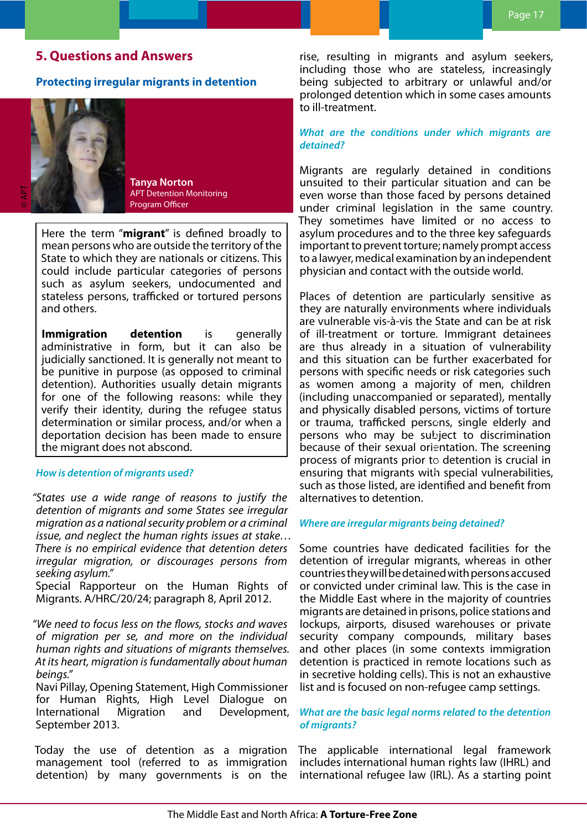# <span id="page-16-0"></span>**5. Questions and Answers**

# **Protecting irregular migrants in detention**



**Tanya Norton** APT Detention Monitoring Program Officer

Here the term "**migrant**" is defined broadly to mean persons who are outside the territory of the State to which they are nationals or citizens. This could include particular categories of persons such as asylum seekers, undocumented and stateless persons, trafficked or tortured persons and others.

**Immigration detention** is generally administrative in form, but it can also be judicially sanctioned. It is generally not meant to be punitive in purpose (as opposed to criminal detention). Authorities usually detain migrants for one of the following reasons: while they verify their identity, during the refugee status determination or similar process, and/or when a deportation decision has been made to ensure the migrant does not abscond.

#### *How is detention of migrants used?*

*"States use a wide range of reasons to justify the detention of migrants and some States see irregular migration as a national security problem or a criminal issue, and neglect the human rights issues at stake… There is no empirical evidence that detention deters irregular migration, or discourages persons from seeking asylum."*

Special Rapporteur on the Human Rights of Migrants. A/HRC/20/24; paragraph 8, April 2012.

*"We need to focus less on the flows, stocks and waves of migration per se, and more on the individual human rights and situations of migrants themselves. At its heart, migration is fundamentally about human beings."*

Navi Pillay, Opening Statement, High Commissioner for Human Rights, High Level Dialogue on International Migration and Development, September 2013.

Today the use of detention as a migration management tool (referred to as immigration detention) by many governments is on the

rise, resulting in migrants and asylum seekers, including those who are stateless, increasingly being subjected to arbitrary or unlawful and/or prolonged detention which in some cases amounts to ill-treatment.

# *What are the conditions under which migrants are detained?*

Migrants are regularly detained in conditions unsuited to their particular situation and can be even worse than those faced by persons detained under criminal legislation in the same country. They sometimes have limited or no access to asylum procedures and to the three key safeguards important to prevent torture; namely prompt access to a lawyer, medical examination by an independent physician and contact with the outside world.

Places of detention are particularly sensitive as they are naturally environments where individuals are vulnerable vis-à-vis the State and can be at risk of ill-treatment or torture. Immigrant detainees are thus already in a situation of vulnerability and this situation can be further exacerbated for persons with specific needs or risk categories such as women among a majority of men, children (including unaccompanied or separated), mentally and physically disabled persons, victims of torture or trauma, trafficked persons, single elderly and persons who may be subject to discrimination because of their sexual orientation. The screening process of migrants prior to detention is crucial in ensuring that migrants with special vulnerabilities, such as those listed, are identified and benefit from alternatives to detention.

# *Where are irregular migrants being detained?*

Some countries have dedicated facilities for the detention of irregular migrants, whereas in other countries they will be detained with persons accused or convicted under criminal law. This is the case in the Middle East where in the majority of countries migrants are detained in prisons, police stations and lockups, airports, disused warehouses or private security company compounds, military bases and other places (in some contexts immigration detention is practiced in remote locations such as in secretive holding cells). This is not an exhaustive list and is focused on non-refugee camp settings.

# *What are the basic legal norms related to the detention of migrants?*

The applicable international legal framework includes international human rights law (IHRL) and international refugee law (IRL). As a starting point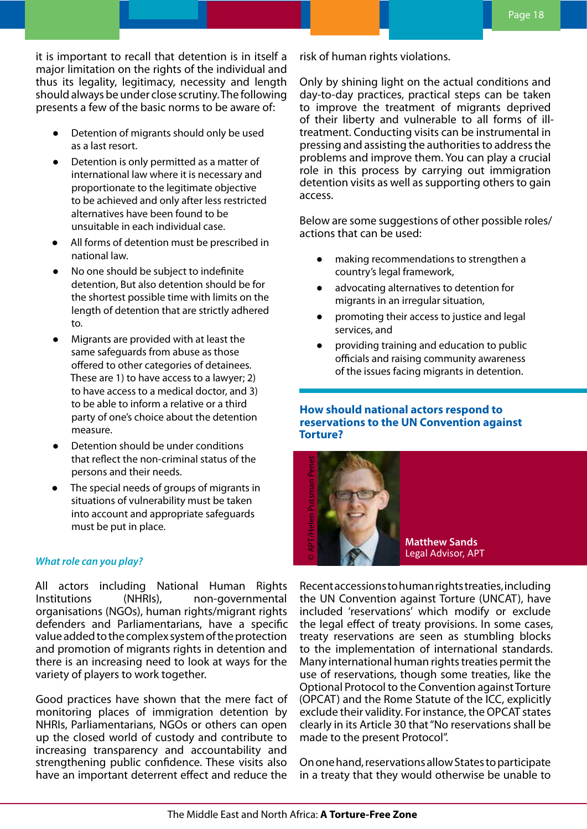<span id="page-17-0"></span>it is important to recall that detention is in itself a major limitation on the rights of the individual and thus its legality, legitimacy, necessity and length should always be under close scrutiny. The following presents a few of the basic norms to be aware of:

- Detention of migrants should only be used as a last resort.
- Detention is only permitted as a matter of international law where it is necessary and proportionate to the legitimate objective to be achieved and only after less restricted alternatives have been found to be unsuitable in each individual case.
- All forms of detention must be prescribed in national law.
- No one should be subject to indefinite detention, But also detention should be for the shortest possible time with limits on the length of detention that are strictly adhered to.
- Migrants are provided with at least the same safeguards from abuse as those offered to other categories of detainees. These are 1) to have access to a lawyer; 2) to have access to a medical doctor, and 3) to be able to inform a relative or a third party of one's choice about the detention measure.
- Detention should be under conditions that reflect the non-criminal status of the persons and their needs.
- The special needs of groups of migrants in situations of vulnerability must be taken into account and appropriate safeguards must be put in place.

# *What role can you play?*

All actors including National Human Rights Institutions (NHRIs), non-governmental organisations (NGOs), human rights/migrant rights defenders and Parliamentarians, have a specific value added to the complex system of the protection and promotion of migrants rights in detention and there is an increasing need to look at ways for the variety of players to work together.

Good practices have shown that the mere fact of monitoring places of immigration detention by NHRIs, Parliamentarians, NGOs or others can open up the closed world of custody and contribute to increasing transparency and accountability and strengthening public confidence. These visits also have an important deterrent effect and reduce the

risk of human rights violations.

Only by shining light on the actual conditions and day-to-day practices, practical steps can be taken to improve the treatment of migrants deprived of their liberty and vulnerable to all forms of illtreatment. Conducting visits can be instrumental in pressing and assisting the authorities to address the problems and improve them. You can play a crucial role in this process by carrying out immigration detention visits as well as supporting others to gain access.

Below are some suggestions of other possible roles/ actions that can be used:

- making recommendations to strengthen a country's legal framework,
- advocating alternatives to detention for migrants in an irregular situation,
- promoting their access to justice and legal services, and
- providing training and education to public officials and raising community awareness of the issues facing migrants in detention.

# **How should national actors respond to reservations to the UN Convention against Torture?**



**Matthew Sands** Legal Advisor, APT

Recent accessions to human rights treaties, including the UN Convention against Torture (UNCAT), have included 'reservations' which modify or exclude the legal effect of treaty provisions. In some cases, treaty reservations are seen as stumbling blocks to the implementation of international standards. Many international human rights treaties permit the use of reservations, though some treaties, like the Optional Protocol to the Convention against Torture (OPCAT) and the Rome Statute of the ICC, explicitly exclude their validity. For instance, the OPCAT states clearly in its Article 30 that "No reservations shall be made to the present Protocol". **Matthew Sands**<br> **Matthew Sands**<br> **Legal Advisor, APT**<br>
Recentraccessions to human rights treaties, including<br>
the UN Convention against Torture (UNCAT), have<br>
included 'reservations' which modify or exclude<br>
the legal eff

On one hand, reservations allow States to participate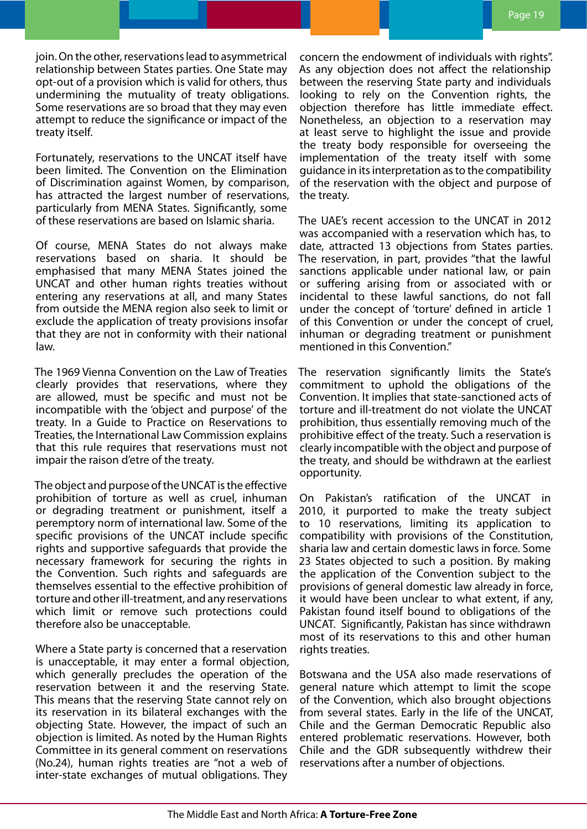join. On the other, reservations lead to asymmetrical relationship between States parties. One State may opt-out of a provision which is valid for others, thus undermining the mutuality of treaty obligations. Some reservations are so broad that they may even attempt to reduce the significance or impact of the treaty itself.

Fortunately, reservations to the UNCAT itself have been limited. The Convention on the Elimination of Discrimination against Women, by comparison, has attracted the largest number of reservations, particularly from MENA States. Significantly, some of these reservations are based on Islamic sharia.

Of course, MENA States do not always make reservations based on sharia. It should be emphasised that many MENA States joined the UNCAT and other human rights treaties without entering any reservations at all, and many States from outside the MENA region also seek to limit or exclude the application of treaty provisions insofar that they are not in conformity with their national law.

The 1969 Vienna Convention on the Law of Treaties clearly provides that reservations, where they are allowed, must be specific and must not be incompatible with the 'object and purpose' of the treaty. In a Guide to Practice on Reservations to Treaties, the International Law Commission explains that this rule requires that reservations must not impair the raison d'etre of the treaty.

The object and purpose of the UNCAT is the effective prohibition of torture as well as cruel, inhuman or degrading treatment or punishment, itself a peremptory norm of international law. Some of the specific provisions of the UNCAT include specific rights and supportive safeguards that provide the necessary framework for securing the rights in the Convention. Such rights and safeguards are themselves essential to the effective prohibition of torture and other ill-treatment, and any reservations which limit or remove such protections could therefore also be unacceptable.

Where a State party is concerned that a reservation is unacceptable, it may enter a formal objection, which generally precludes the operation of the reservation between it and the reserving State. This means that the reserving State cannot rely on its reservation in its bilateral exchanges with the objecting State. However, the impact of such an objection is limited. As noted by the Human Rights Committee in its general comment on reservations (No.24), human rights treaties are "not a web of inter-state exchanges of mutual obligations. They

concern the endowment of individuals with rights". As any objection does not affect the relationship between the reserving State party and individuals looking to rely on the Convention rights, the objection therefore has little immediate effect. Nonetheless, an objection to a reservation may at least serve to highlight the issue and provide the treaty body responsible for overseeing the implementation of the treaty itself with some guidance in its interpretation as to the compatibility of the reservation with the object and purpose of the treaty.

The UAE's recent accession to the UNCAT in 2012 was accompanied with a reservation which has, to date, attracted 13 objections from States parties. The reservation, in part, provides "that the lawful sanctions applicable under national law, or pain or suffering arising from or associated with or incidental to these lawful sanctions, do not fall under the concept of 'torture' defined in article 1 of this Convention or under the concept of cruel, inhuman or degrading treatment or punishment mentioned in this Convention."

The reservation significantly limits the State's commitment to uphold the obligations of the Convention. It implies that state-sanctioned acts of torture and ill-treatment do not violate the UNCAT prohibition, thus essentially removing much of the prohibitive effect of the treaty. Such a reservation is clearly incompatible with the object and purpose of the treaty, and should be withdrawn at the earliest opportunity.

On Pakistan's ratification of the UNCAT in 2010, it purported to make the treaty subject to 10 reservations, limiting its application to compatibility with provisions of the Constitution, sharia law and certain domestic laws in force. Some 23 States objected to such a position. By making the application of the Convention subject to the provisions of general domestic law already in force, it would have been unclear to what extent, if any, Pakistan found itself bound to obligations of the UNCAT. Significantly, Pakistan has since withdrawn most of its reservations to this and other human rights treaties.

Botswana and the USA also made reservations of general nature which attempt to limit the scope of the Convention, which also brought objections from several states. Early in the life of the UNCAT, Chile and the German Democratic Republic also entered problematic reservations. However, both Chile and the GDR subsequently withdrew their reservations after a number of objections.